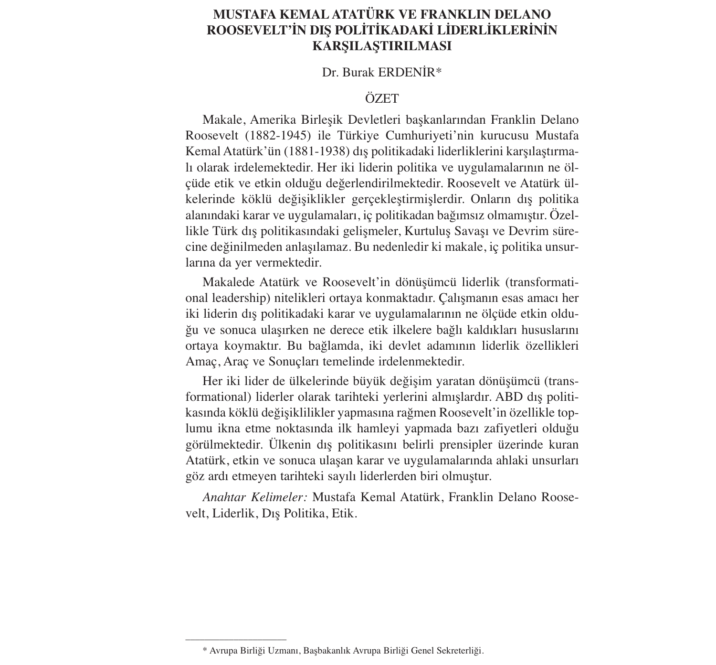# **MUSTAFA KEMAL ATATÜRK VE FRANKLIN DELANO ROOSEVELT'İN DIŞ POLİTİKADAKİ LİDERLİKLERİNİN KARŞILAŞTIRILMASI**

## Dr. Burak ERDENİR\*

## ÖZET

Makale, Amerika Birleşik Devletleri başkanlarından Franklin Delano Roosevelt (1882-1945) ile Türkiye Cumhuriyeti'nin kurucusu Mustafa Kemal Atatürk'ün (1881-1938) dış politikadaki liderliklerini karşılaştırmalı olarak irdelemektedir. Her iki liderin politika ve uygulamalarının ne ölçüde etik ve etkin olduğu değerlendirilmektedir. Roosevelt ve Atatürk ülkelerinde köklü değişiklikler gerçekleştirmişlerdir. Onların dış politika alanındaki karar ve uygulamaları, iç politikadan bağımsız olmamıştır. Özellikle Türk dış politikasındaki gelişmeler, Kurtuluş Savaşı ve Devrim sürecine değinilmeden anlaşılamaz. Bu nedenledir ki makale, iç politika unsurlarına da yer vermektedir.

Makalede Atatürk ve Roosevelt'in dönüşümcü liderlik (transformational leadership) nitelikleri ortaya konmaktadır. Çalışmanın esas amacı her iki liderin dış politikadaki karar ve uygulamalarının ne ölçüde etkin olduğu ve sonuca ulaşırken ne derece etik ilkelere bağlı kaldıkları hususlarını ortaya koymaktır. Bu bağlamda, iki devlet adamının liderlik özellikleri Amaç, Araç ve Sonuçları temelinde irdelenmektedir.

Her iki lider de ülkelerinde büyük değişim yaratan dönüşümcü (transformational) liderler olarak tarihteki yerlerini almışlardır. ABD dış politikasında köklü değişiklilikler yapmasına rağmen Roosevelt'in özellikle toplumu ikna etme noktasında ilk hamleyi yapmada bazı zafiyetleri olduğu görülmektedir. Ülkenin dış politikasını belirli prensipler üzerinde kuran Atatürk, etkin ve sonuca ulaşan karar ve uygulamalarında ahlaki unsurları göz ardı etmeyen tarihteki sayılı liderlerden biri olmuştur.

*Anahtar Kelimeler:* Mustafa Kemal Atatürk, Franklin Delano Roosevelt, Liderlik, Dış Politika, Etik.

–––––––––––––––––––––

<sup>\*</sup> Avrupa Birliği Uzmanı, Başbakanlık Avrupa Birliği Genel Sekreterliği.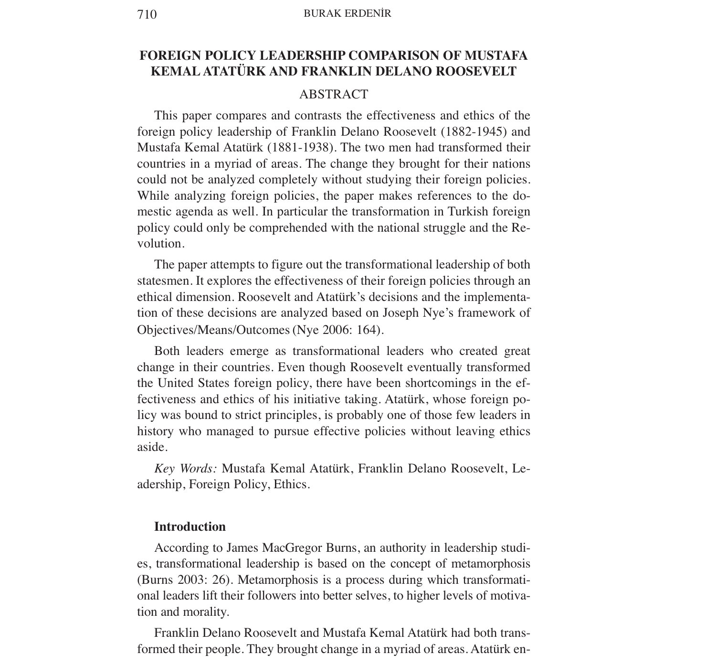### 710 BURAK ERDENİR

# **FOREIGN POLICY LEADERSHIP COMPARISON OF MUSTAFA KEMAL ATATÜRK AND FRANKLIN DELANO ROOSEVELT**

## ABSTRACT

This paper compares and contrasts the effectiveness and ethics of the foreign policy leadership of Franklin Delano Roosevelt (1882-1945) and Mustafa Kemal Atatürk (1881-1938). The two men had transformed their countries in a myriad of areas. The change they brought for their nations could not be analyzed completely without studying their foreign policies. While analyzing foreign policies, the paper makes references to the domestic agenda as well. In particular the transformation in Turkish foreign policy could only be comprehended with the national struggle and the Revolution.

The paper attempts to figure out the transformational leadership of both statesmen. It explores the effectiveness of their foreign policies through an ethical dimension. Roosevelt and Atatürk's decisions and the implementation of these decisions are analyzed based on Joseph Nye's framework of Objectives/Means/Outcomes (Nye 2006: 164).

Both leaders emerge as transformational leaders who created great change in their countries. Even though Roosevelt eventually transformed the United States foreign policy, there have been shortcomings in the effectiveness and ethics of his initiative taking. Atatürk, whose foreign policy was bound to strict principles, is probably one of those few leaders in history who managed to pursue effective policies without leaving ethics aside.

*Key Words:* Mustafa Kemal Atatürk, Franklin Delano Roosevelt, Leadership, Foreign Policy, Ethics.

### **Introduction**

According to James MacGregor Burns, an authority in leadership studies, transformational leadership is based on the concept of metamorphosis (Burns 2003: 26). Metamorphosis is a process during which transformational leaders lift their followers into better selves, to higher levels of motivation and morality.

Franklin Delano Roosevelt and Mustafa Kemal Atatürk had both transformed their people. They brought change in a myriad of areas. Atatürk en-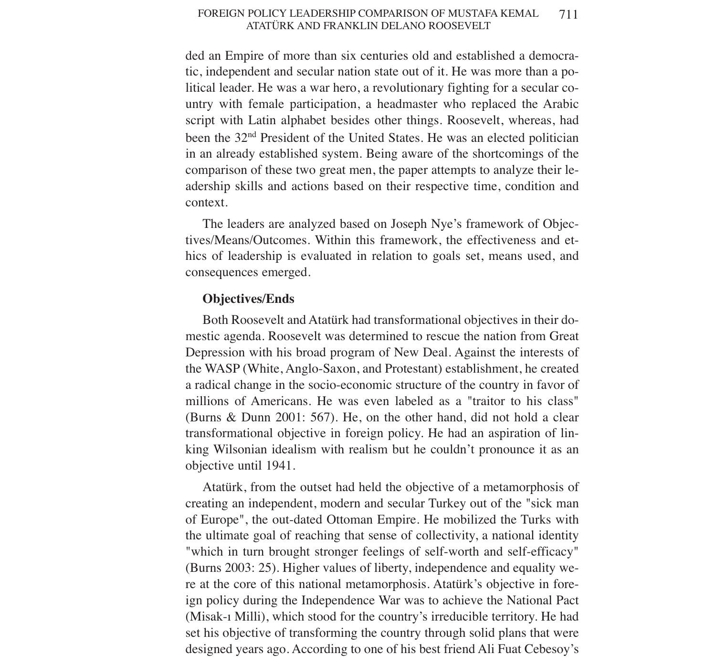#### FOREIGN POLICY LEADERSHIP COMPARISON OF MUSTAFA KEMAL ATATÜRK AND FRANKLIN DELANO ROOSEVELT 711

ded an Empire of more than six centuries old and established a democratic, independent and secular nation state out of it. He was more than a political leader. He was a war hero, a revolutionary fighting for a secular country with female participation, a headmaster who replaced the Arabic script with Latin alphabet besides other things. Roosevelt, whereas, had been the 32nd President of the United States. He was an elected politician in an already established system. Being aware of the shortcomings of the comparison of these two great men, the paper attempts to analyze their leadership skills and actions based on their respective time, condition and context.

The leaders are analyzed based on Joseph Nye's framework of Objectives/Means/Outcomes. Within this framework, the effectiveness and ethics of leadership is evaluated in relation to goals set, means used, and consequences emerged.

## **Objectives/Ends**

Both Roosevelt and Atatürk had transformational objectives in their domestic agenda. Roosevelt was determined to rescue the nation from Great Depression with his broad program of New Deal. Against the interests of the WASP (White, Anglo-Saxon, and Protestant) establishment, he created a radical change in the socio-economic structure of the country in favor of millions of Americans. He was even labeled as a "traitor to his class" (Burns & Dunn 2001: 567). He, on the other hand, did not hold a clear transformational objective in foreign policy. He had an aspiration of linking Wilsonian idealism with realism but he couldn't pronounce it as an objective until 1941.

Atatürk, from the outset had held the objective of a metamorphosis of creating an independent, modern and secular Turkey out of the "sick man of Europe", the out-dated Ottoman Empire. He mobilized the Turks with the ultimate goal of reaching that sense of collectivity, a national identity "which in turn brought stronger feelings of self-worth and self-efficacy" (Burns 2003: 25). Higher values of liberty, independence and equality were at the core of this national metamorphosis. Atatürk's objective in foreign policy during the Independence War was to achieve the National Pact (Misak-ı Milli), which stood for the country's irreducible territory. He had set his objective of transforming the country through solid plans that were designed years ago. According to one of his best friend Ali Fuat Cebesoy's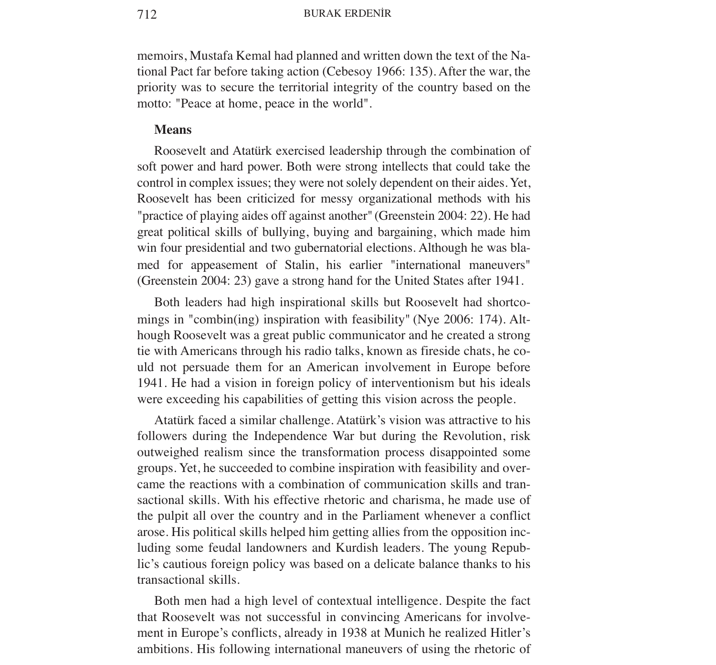memoirs, Mustafa Kemal had planned and written down the text of the National Pact far before taking action (Cebesoy 1966: 135). After the war, the priority was to secure the territorial integrity of the country based on the motto: "Peace at home, peace in the world".

## **Means**

Roosevelt and Atatürk exercised leadership through the combination of soft power and hard power. Both were strong intellects that could take the control in complex issues; they were not solely dependent on their aides. Yet, Roosevelt has been criticized for messy organizational methods with his "practice of playing aides off against another" (Greenstein 2004: 22). He had great political skills of bullying, buying and bargaining, which made him win four presidential and two gubernatorial elections. Although he was blamed for appeasement of Stalin, his earlier "international maneuvers" (Greenstein 2004: 23) gave a strong hand for the United States after 1941.

Both leaders had high inspirational skills but Roosevelt had shortcomings in "combin(ing) inspiration with feasibility" (Nye 2006: 174). Although Roosevelt was a great public communicator and he created a strong tie with Americans through his radio talks, known as fireside chats, he could not persuade them for an American involvement in Europe before 1941. He had a vision in foreign policy of interventionism but his ideals were exceeding his capabilities of getting this vision across the people.

Atatürk faced a similar challenge. Atatürk's vision was attractive to his followers during the Independence War but during the Revolution, risk outweighed realism since the transformation process disappointed some groups. Yet, he succeeded to combine inspiration with feasibility and overcame the reactions with a combination of communication skills and transactional skills. With his effective rhetoric and charisma, he made use of the pulpit all over the country and in the Parliament whenever a conflict arose. His political skills helped him getting allies from the opposition including some feudal landowners and Kurdish leaders. The young Republic's cautious foreign policy was based on a delicate balance thanks to his transactional skills.

Both men had a high level of contextual intelligence. Despite the fact that Roosevelt was not successful in convincing Americans for involvement in Europe's conflicts, already in 1938 at Munich he realized Hitler's ambitions. His following international maneuvers of using the rhetoric of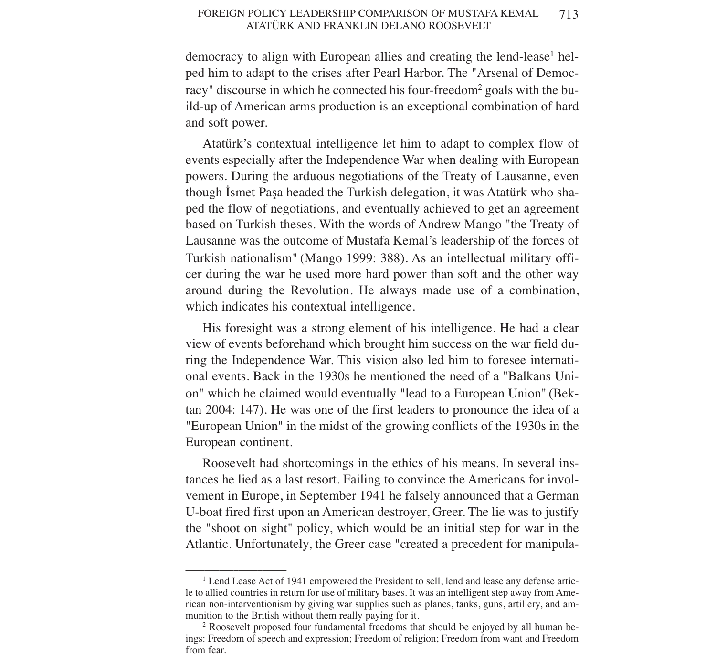democracy to align with European allies and creating the lend-lease<sup>1</sup> helped him to adapt to the crises after Pearl Harbor. The "Arsenal of Democracy" discourse in which he connected his four-freedom<sup>2</sup> goals with the build-up of American arms production is an exceptional combination of hard and soft power.

Atatürk's contextual intelligence let him to adapt to complex flow of events especially after the Independence War when dealing with European powers. During the arduous negotiations of the Treaty of Lausanne, even though İsmet Paşa headed the Turkish delegation, it was Atatürk who shaped the flow of negotiations, and eventually achieved to get an agreement based on Turkish theses. With the words of Andrew Mango "the Treaty of Lausanne was the outcome of Mustafa Kemal's leadership of the forces of Turkish nationalism" (Mango 1999: 388). As an intellectual military officer during the war he used more hard power than soft and the other way around during the Revolution. He always made use of a combination, which indicates his contextual intelligence.

His foresight was a strong element of his intelligence. He had a clear view of events beforehand which brought him success on the war field during the Independence War. This vision also led him to foresee international events. Back in the 1930s he mentioned the need of a "Balkans Union" which he claimed would eventually "lead to a European Union" (Bektan 2004: 147). He was one of the first leaders to pronounce the idea of a "European Union" in the midst of the growing conflicts of the 1930s in the European continent.

Roosevelt had shortcomings in the ethics of his means. In several instances he lied as a last resort. Failing to convince the Americans for involvement in Europe, in September 1941 he falsely announced that a German U-boat fired first upon an American destroyer, Greer. The lie was to justify the "shoot on sight" policy, which would be an initial step for war in the Atlantic. Unfortunately, the Greer case "created a precedent for manipula-

–––––––––––––––––––––

<sup>1</sup> Lend Lease Act of 1941 empowered the President to sell, lend and lease any defense article to allied countries in return for use of military bases. It was an intelligent step away from American non-interventionism by giving war supplies such as planes, tanks, guns, artillery, and ammunition to the British without them really paying for it.

<sup>2</sup> Roosevelt proposed four fundamental freedoms that should be enjoyed by all human beings: Freedom of speech and expression; Freedom of religion; Freedom from want and Freedom from fear.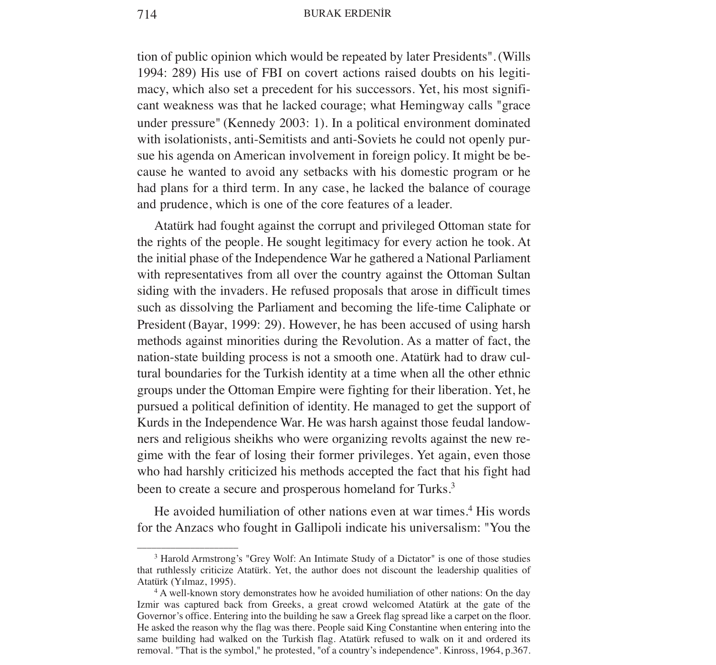714 BURAK ERDENİR

tion of public opinion which would be repeated by later Presidents". (Wills 1994: 289) His use of FBI on covert actions raised doubts on his legitimacy, which also set a precedent for his successors. Yet, his most significant weakness was that he lacked courage; what Hemingway calls "grace under pressure" (Kennedy 2003: 1). In a political environment dominated with isolationists, anti-Semitists and anti-Soviets he could not openly pursue his agenda on American involvement in foreign policy. It might be because he wanted to avoid any setbacks with his domestic program or he had plans for a third term. In any case, he lacked the balance of courage and prudence, which is one of the core features of a leader.

Atatürk had fought against the corrupt and privileged Ottoman state for the rights of the people. He sought legitimacy for every action he took. At the initial phase of the Independence War he gathered a National Parliament with representatives from all over the country against the Ottoman Sultan siding with the invaders. He refused proposals that arose in difficult times such as dissolving the Parliament and becoming the life-time Caliphate or President (Bayar, 1999: 29). However, he has been accused of using harsh methods against minorities during the Revolution. As a matter of fact, the nation-state building process is not a smooth one. Atatürk had to draw cultural boundaries for the Turkish identity at a time when all the other ethnic groups under the Ottoman Empire were fighting for their liberation. Yet, he pursued a political definition of identity. He managed to get the support of Kurds in the Independence War. He was harsh against those feudal landowners and religious sheikhs who were organizing revolts against the new regime with the fear of losing their former privileges. Yet again, even those who had harshly criticized his methods accepted the fact that his fight had been to create a secure and prosperous homeland for Turks.<sup>3</sup>

He avoided humiliation of other nations even at war times.<sup>4</sup> His words for the Anzacs who fought in Gallipoli indicate his universalism: "You the

–––––––––––––––––––––

<sup>&</sup>lt;sup>3</sup> Harold Armstrong's "Grey Wolf: An Intimate Study of a Dictator" is one of those studies that ruthlessly criticize Atatürk. Yet, the author does not discount the leadership qualities of Atatürk (Yılmaz, 1995).

<sup>4</sup> A well-known story demonstrates how he avoided humiliation of other nations: On the day Izmir was captured back from Greeks, a great crowd welcomed Atatürk at the gate of the Governor's office. Entering into the building he saw a Greek flag spread like a carpet on the floor. He asked the reason why the flag was there. People said King Constantine when entering into the same building had walked on the Turkish flag. Atatürk refused to walk on it and ordered its removal. "That is the symbol," he protested, "of a country's independence". Kinross, 1964, p.367.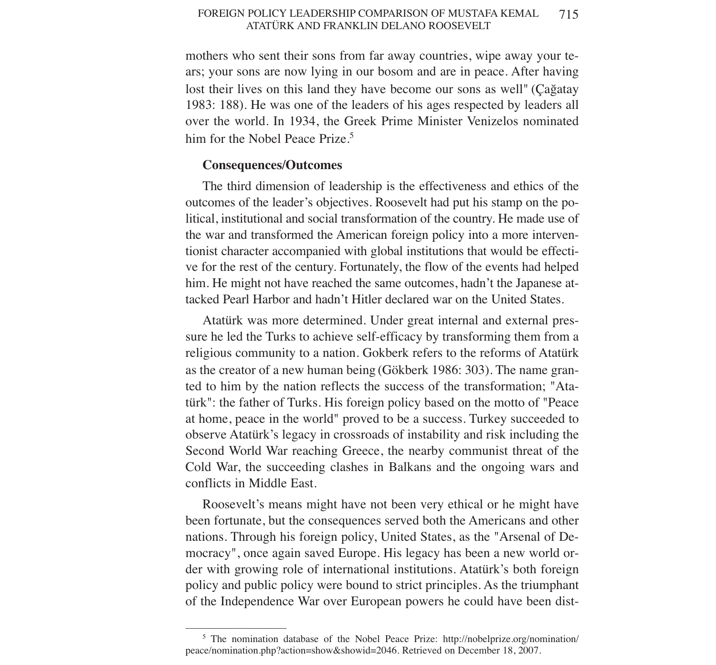#### FOREIGN POLICY LEADERSHIP COMPARISON OF MUSTAFA KEMAL ATATÜRK AND FRANKLIN DELANO ROOSEVELT 715

mothers who sent their sons from far away countries, wipe away your tears; your sons are now lying in our bosom and are in peace. After having lost their lives on this land they have become our sons as well" (Çağatay 1983: 188). He was one of the leaders of his ages respected by leaders all over the world. In 1934, the Greek Prime Minister Venizelos nominated him for the Nobel Peace Prize.<sup>5</sup>

## **Consequences/Outcomes**

–––––––––––––––––––––

The third dimension of leadership is the effectiveness and ethics of the outcomes of the leader's objectives. Roosevelt had put his stamp on the political, institutional and social transformation of the country. He made use of the war and transformed the American foreign policy into a more interventionist character accompanied with global institutions that would be effective for the rest of the century. Fortunately, the flow of the events had helped him. He might not have reached the same outcomes, hadn't the Japanese attacked Pearl Harbor and hadn't Hitler declared war on the United States.

Atatürk was more determined. Under great internal and external pressure he led the Turks to achieve self-efficacy by transforming them from a religious community to a nation. Gokberk refers to the reforms of Atatürk as the creator of a new human being (Gökberk 1986: 303). The name granted to him by the nation reflects the success of the transformation; "Atatürk": the father of Turks. His foreign policy based on the motto of "Peace at home, peace in the world" proved to be a success. Turkey succeeded to observe Atatürk's legacy in crossroads of instability and risk including the Second World War reaching Greece, the nearby communist threat of the Cold War, the succeeding clashes in Balkans and the ongoing wars and conflicts in Middle East.

Roosevelt's means might have not been very ethical or he might have been fortunate, but the consequences served both the Americans and other nations. Through his foreign policy, United States, as the "Arsenal of Democracy", once again saved Europe. His legacy has been a new world order with growing role of international institutions. Atatürk's both foreign policy and public policy were bound to strict principles. As the triumphant of the Independence War over European powers he could have been dist-

<sup>5</sup> The nomination database of the Nobel Peace Prize: http://nobelprize.org/nomination/ peace/nomination.php?action=show&showid=2046. Retrieved on December 18, 2007.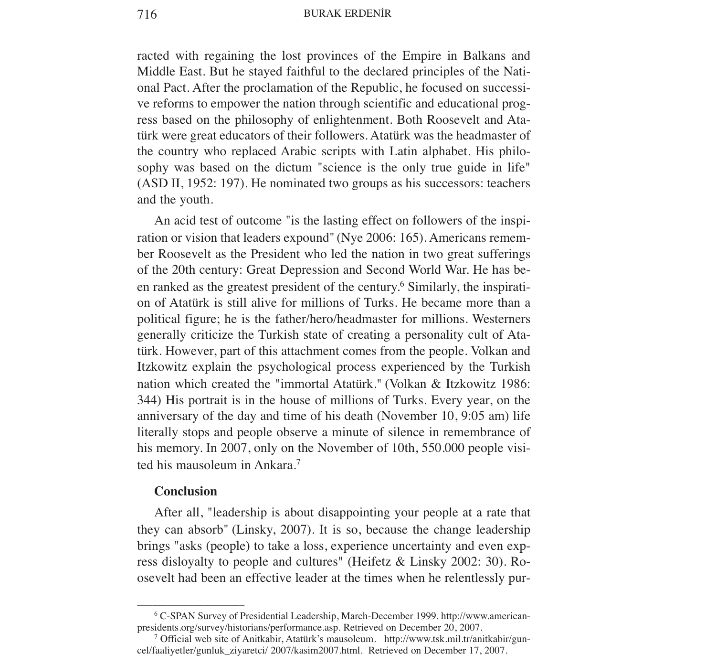### 716 BURAK ERDENİR

racted with regaining the lost provinces of the Empire in Balkans and Middle East. But he stayed faithful to the declared principles of the National Pact. After the proclamation of the Republic, he focused on successive reforms to empower the nation through scientific and educational progress based on the philosophy of enlightenment. Both Roosevelt and Atatürk were great educators of their followers. Atatürk was the headmaster of the country who replaced Arabic scripts with Latin alphabet. His philosophy was based on the dictum "science is the only true guide in life" (ASD II, 1952: 197). He nominated two groups as his successors: teachers and the youth.

An acid test of outcome "is the lasting effect on followers of the inspiration or vision that leaders expound" (Nye 2006: 165). Americans remember Roosevelt as the President who led the nation in two great sufferings of the 20th century: Great Depression and Second World War. He has been ranked as the greatest president of the century.<sup>6</sup> Similarly, the inspiration of Atatürk is still alive for millions of Turks. He became more than a political figure; he is the father/hero/headmaster for millions. Westerners generally criticize the Turkish state of creating a personality cult of Atatürk. However, part of this attachment comes from the people. Volkan and Itzkowitz explain the psychological process experienced by the Turkish nation which created the "immortal Atatürk." (Volkan & Itzkowitz 1986: 344) His portrait is in the house of millions of Turks. Every year, on the anniversary of the day and time of his death (November 10, 9:05 am) life literally stops and people observe a minute of silence in remembrance of his memory. In 2007, only on the November of 10th, 550.000 people visited his mausoleum in Ankara.<sup>7</sup>

### **Conclusion**

–––––––––––––––––––––

After all, "leadership is about disappointing your people at a rate that they can absorb" (Linsky, 2007). It is so, because the change leadership brings "asks (people) to take a loss, experience uncertainty and even express disloyalty to people and cultures" (Heifetz & Linsky 2002: 30). Roosevelt had been an effective leader at the times when he relentlessly pur-

<sup>6</sup> C-SPAN Survey of Presidential Leadership, March-December 1999. http://www.americanpresidents.org/survey/historians/performance.asp. Retrieved on December 20, 2007.

<sup>7</sup> Official web site of Anitkabir, Atatürk's mausoleum. http://www.tsk.mil.tr/anitkabir/guncel/faaliyetler/gunluk\_ziyaretci/ 2007/kasim2007.html. Retrieved on December 17, 2007.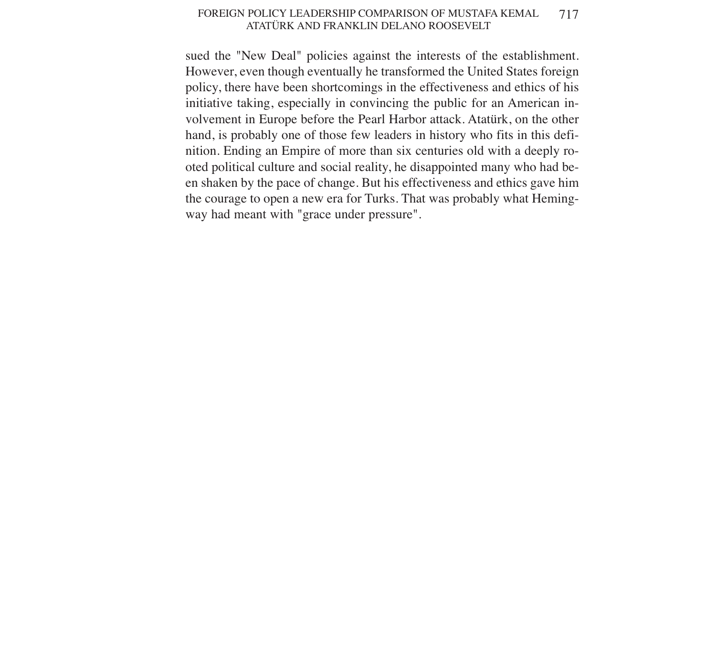#### FOREIGN POLICY LEADERSHIP COMPARISON OF MUSTAFA KEMAL ATATÜRK AND FRANKLIN DELANO ROOSEVELT 717

sued the "New Deal" policies against the interests of the establishment. However, even though eventually he transformed the United States foreign policy, there have been shortcomings in the effectiveness and ethics of his initiative taking, especially in convincing the public for an American involvement in Europe before the Pearl Harbor attack. Atatürk, on the other hand, is probably one of those few leaders in history who fits in this definition. Ending an Empire of more than six centuries old with a deeply rooted political culture and social reality, he disappointed many who had been shaken by the pace of change. But his effectiveness and ethics gave him the courage to open a new era for Turks. That was probably what Hemingway had meant with "grace under pressure".